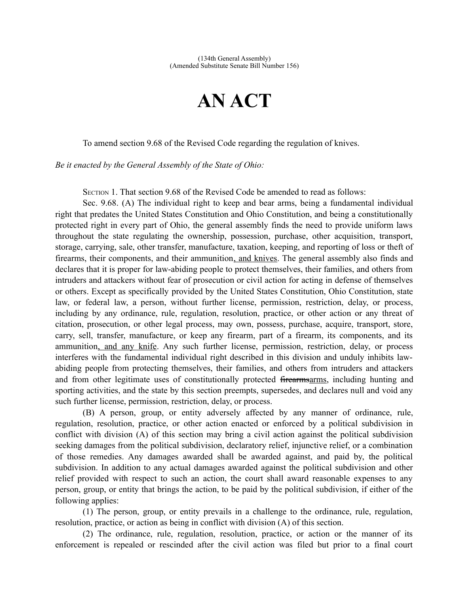## **AN ACT**

To amend section 9.68 of the Revised Code regarding the regulation of knives.

*Be it enacted by the General Assembly of the State of Ohio:*

SECTION 1. That section 9.68 of the Revised Code be amended to read as follows:

Sec. 9.68. (A) The individual right to keep and bear arms, being a fundamental individual right that predates the United States Constitution and Ohio Constitution, and being a constitutionally protected right in every part of Ohio, the general assembly finds the need to provide uniform laws throughout the state regulating the ownership, possession, purchase, other acquisition, transport, storage, carrying, sale, other transfer, manufacture, taxation, keeping, and reporting of loss or theft of firearms, their components, and their ammunition, and knives. The general assembly also finds and declares that it is proper for law-abiding people to protect themselves, their families, and others from intruders and attackers without fear of prosecution or civil action for acting in defense of themselves or others. Except as specifically provided by the United States Constitution, Ohio Constitution, state law, or federal law, a person, without further license, permission, restriction, delay, or process, including by any ordinance, rule, regulation, resolution, practice, or other action or any threat of citation, prosecution, or other legal process, may own, possess, purchase, acquire, transport, store, carry, sell, transfer, manufacture, or keep any firearm, part of a firearm, its components, and its ammunition, and any knife. Any such further license, permission, restriction, delay, or process interferes with the fundamental individual right described in this division and unduly inhibits lawabiding people from protecting themselves, their families, and others from intruders and attackers and from other legitimate uses of constitutionally protected firearmsarms, including hunting and sporting activities, and the state by this section preempts, supersedes, and declares null and void any such further license, permission, restriction, delay, or process.

(B) A person, group, or entity adversely affected by any manner of ordinance, rule, regulation, resolution, practice, or other action enacted or enforced by a political subdivision in conflict with division (A) of this section may bring a civil action against the political subdivision seeking damages from the political subdivision, declaratory relief, injunctive relief, or a combination of those remedies. Any damages awarded shall be awarded against, and paid by, the political subdivision. In addition to any actual damages awarded against the political subdivision and other relief provided with respect to such an action, the court shall award reasonable expenses to any person, group, or entity that brings the action, to be paid by the political subdivision, if either of the following applies:

(1) The person, group, or entity prevails in a challenge to the ordinance, rule, regulation, resolution, practice, or action as being in conflict with division (A) of this section.

(2) The ordinance, rule, regulation, resolution, practice, or action or the manner of its enforcement is repealed or rescinded after the civil action was filed but prior to a final court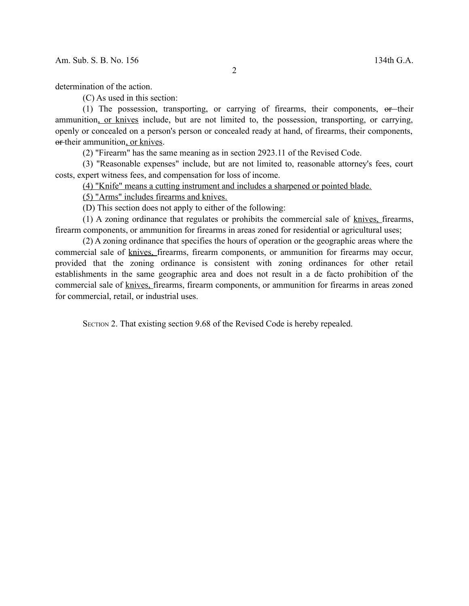determination of the action.

(C) As used in this section:

(1) The possession, transporting, or carrying of firearms, their components,  $\theta$ -their ammunition, or knives include, but are not limited to, the possession, transporting, or carrying, openly or concealed on a person's person or concealed ready at hand, of firearms, their components, or their ammunition, or knives.

(2) "Firearm" has the same meaning as in section 2923.11 of the Revised Code.

(3) "Reasonable expenses" include, but are not limited to, reasonable attorney's fees, court costs, expert witness fees, and compensation for loss of income.

(4) "Knife" means a cutting instrument and includes a sharpened or pointed blade.

(5) "Arms" includes firearms and knives.

(D) This section does not apply to either of the following:

(1) A zoning ordinance that regulates or prohibits the commercial sale of knives, firearms, firearm components, or ammunition for firearms in areas zoned for residential or agricultural uses;

(2) A zoning ordinance that specifies the hours of operation or the geographic areas where the commercial sale of knives, firearms, firearm components, or ammunition for firearms may occur, provided that the zoning ordinance is consistent with zoning ordinances for other retail establishments in the same geographic area and does not result in a de facto prohibition of the commercial sale of knives, firearms, firearm components, or ammunition for firearms in areas zoned for commercial, retail, or industrial uses.

SECTION 2. That existing section 9.68 of the Revised Code is hereby repealed.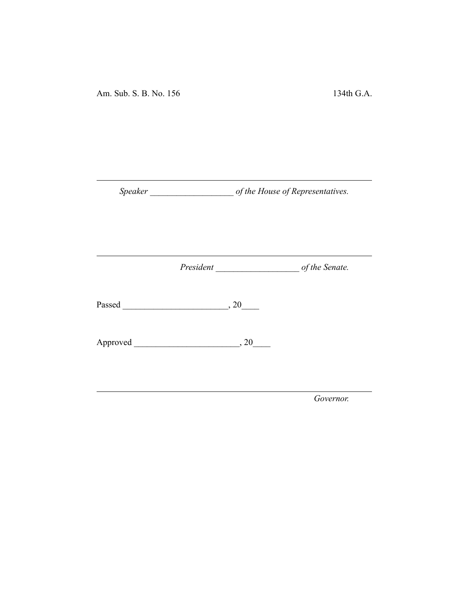Am. Sub. S. B. No. 156 134th G.A.

*Speaker \_\_\_\_\_\_\_\_\_\_\_\_\_\_\_\_\_\_\_ of the House of Representatives.*

*President \_\_\_\_\_\_\_\_\_\_\_\_\_\_\_\_\_\_\_ of the Senate.*

Passed \_\_\_\_\_\_\_\_\_\_\_\_\_\_\_\_\_\_\_\_\_\_\_\_, 20\_\_\_\_

Approved \_\_\_\_\_\_\_\_\_\_\_\_\_\_\_\_\_\_\_\_\_\_\_\_, 20\_\_\_\_

*Governor.*